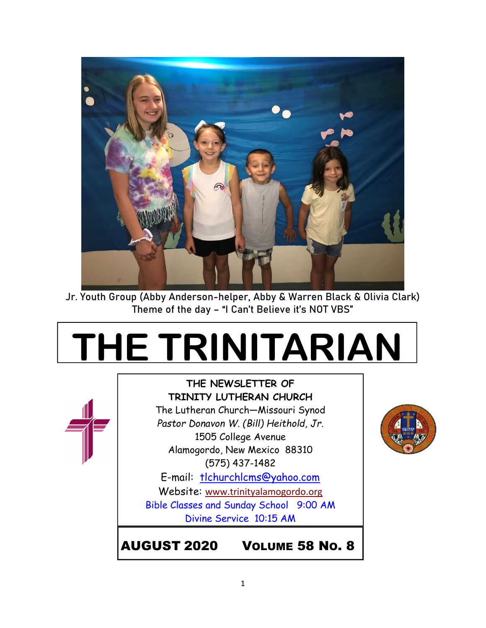

Jr. Youth Group (Abby Anderson-helper, Abby & Warren Black & Olivia Clark) Theme of the day – "I Can't Believe it's NOT VBS"

# **THE TRINITARIAN**



**THE NEWSLETTER OF TRINITY LUTHERAN CHURCH** The Lutheran Church—Missouri Synod *Pastor Donavon W. (Bill) Heithold, Jr.* 1505 College Avenue Alamogordo, New Mexico 88310 (575) 437-1482

E-mail: tlchurchlcms@yahoo.com Website: [www.trinityalamogordo.org](http://www.tlcalamogordo/) Bible Classes and Sunday School 9:00 AM Divine Service 10:15 AM

AUGUST 2020 VOLUME 58 NO. 8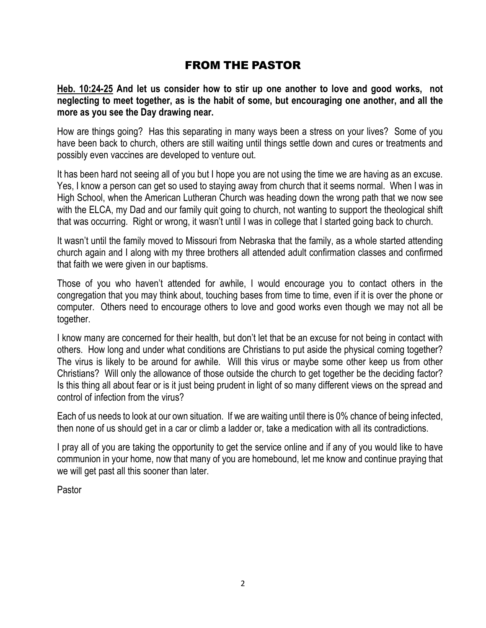## FROM THE PASTOR

**Heb. 10:24-25 And let us consider how to stir up one another to love and good works, not neglecting to meet together, as is the habit of some, but encouraging one another, and all the more as you see the Day drawing near.**

How are things going? Has this separating in many ways been a stress on your lives? Some of you have been back to church, others are still waiting until things settle down and cures or treatments and possibly even vaccines are developed to venture out.

It has been hard not seeing all of you but I hope you are not using the time we are having as an excuse. Yes, I know a person can get so used to staying away from church that it seems normal. When I was in High School, when the American Lutheran Church was heading down the wrong path that we now see with the ELCA, my Dad and our family quit going to church, not wanting to support the theological shift that was occurring. Right or wrong, it wasn't until I was in college that I started going back to church.

It wasn't until the family moved to Missouri from Nebraska that the family, as a whole started attending church again and I along with my three brothers all attended adult confirmation classes and confirmed that faith we were given in our baptisms.

Those of you who haven't attended for awhile, I would encourage you to contact others in the congregation that you may think about, touching bases from time to time, even if it is over the phone or computer. Others need to encourage others to love and good works even though we may not all be together.

I know many are concerned for their health, but don't let that be an excuse for not being in contact with others. How long and under what conditions are Christians to put aside the physical coming together? The virus is likely to be around for awhile. Will this virus or maybe some other keep us from other Christians? Will only the allowance of those outside the church to get together be the deciding factor? Is this thing all about fear or is it just being prudent in light of so many different views on the spread and control of infection from the virus?

Each of us needs to look at our own situation. If we are waiting until there is 0% chance of being infected, then none of us should get in a car or climb a ladder or, take a medication with all its contradictions.

I pray all of you are taking the opportunity to get the service online and if any of you would like to have communion in your home, now that many of you are homebound, let me know and continue praying that we will get past all this sooner than later.

Pastor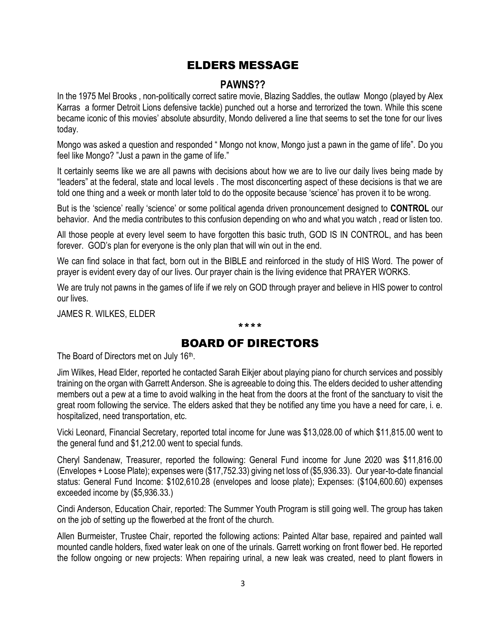## ELDERS MESSAGE

#### **PAWNS??**

In the 1975 Mel Brooks , non-politically correct satire movie, Blazing Saddles, the outlaw Mongo (played by Alex Karras a former Detroit Lions defensive tackle) punched out a horse and terrorized the town. While this scene became iconic of this movies' absolute absurdity, Mondo delivered a line that seems to set the tone for our lives today.

Mongo was asked a question and responded " Mongo not know, Mongo just a pawn in the game of life". Do you feel like Mongo? "Just a pawn in the game of life."

It certainly seems like we are all pawns with decisions about how we are to live our daily lives being made by "leaders" at the federal, state and local levels . The most disconcerting aspect of these decisions is that we are told one thing and a week or month later told to do the opposite because 'science' has proven it to be wrong.

But is the 'science' really 'science' or some political agenda driven pronouncement designed to **CONTROL** our behavior. And the media contributes to this confusion depending on who and what you watch , read or listen too.

All those people at every level seem to have forgotten this basic truth, GOD IS IN CONTROL, and has been forever. GOD's plan for everyone is the only plan that will win out in the end.

We can find solace in that fact, born out in the BIBLE and reinforced in the study of HIS Word. The power of prayer is evident every day of our lives. Our prayer chain is the living evidence that PRAYER WORKS.

We are truly not pawns in the games of life if we rely on GOD through prayer and believe in HIS power to control our lives.

JAMES R. WILKES, ELDER

## BOARD OF DIRECTORS

\*\*\*\*

The Board of Directors met on July 16<sup>th</sup>.

Jim Wilkes, Head Elder, reported he contacted Sarah Eikjer about playing piano for church services and possibly training on the organ with Garrett Anderson. She is agreeable to doing this. The elders decided to usher attending members out a pew at a time to avoid walking in the heat from the doors at the front of the sanctuary to visit the great room following the service. The elders asked that they be notified any time you have a need for care, i. e. hospitalized, need transportation, etc.

Vicki Leonard, Financial Secretary, reported total income for June was \$13,028.00 of which \$11,815.00 went to the general fund and \$1,212.00 went to special funds.

Cheryl Sandenaw, Treasurer, reported the following: General Fund income for June 2020 was \$11,816.00 (Envelopes + Loose Plate); expenses were (\$17,752.33) giving net loss of (\$5,936.33). Our year-to-date financial status: General Fund Income: \$102,610.28 (envelopes and loose plate); Expenses: (\$104,600.60) expenses exceeded income by (\$5,936.33.)

Cindi Anderson, Education Chair, reported: The Summer Youth Program is still going well. The group has taken on the job of setting up the flowerbed at the front of the church.

Allen Burmeister, Trustee Chair, reported the following actions: Painted Altar base, repaired and painted wall mounted candle holders, fixed water leak on one of the urinals. Garrett working on front flower bed. He reported the follow ongoing or new projects: When repairing urinal, a new leak was created, need to plant flowers in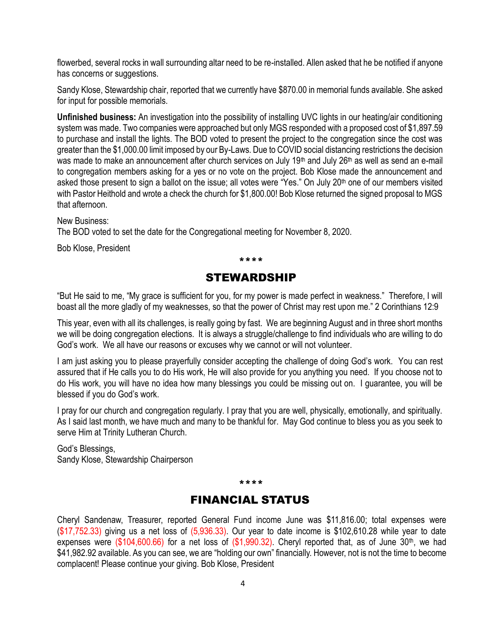flowerbed, several rocks in wall surrounding altar need to be re-installed. Allen asked that he be notified if anyone has concerns or suggestions.

Sandy Klose, Stewardship chair, reported that we currently have \$870.00 in memorial funds available. She asked for input for possible memorials.

**Unfinished business:** An investigation into the possibility of installing UVC lights in our heating/air conditioning system was made. Two companies were approached but only MGS responded with a proposed cost of \$1,897.59 to purchase and install the lights. The BOD voted to present the project to the congregation since the cost was greater than the \$1,000.00 limit imposed by our By-Laws. Due to COVID social distancing restrictions the decision was made to make an announcement after church services on July 19<sup>th</sup> and July 26<sup>th</sup> as well as send an e-mail to congregation members asking for a yes or no vote on the project. Bob Klose made the announcement and asked those present to sign a ballot on the issue; all votes were "Yes." On July 20<sup>th</sup> one of our members visited with Pastor Heithold and wrote a check the church for \$1,800.00! Bob Klose returned the signed proposal to MGS that afternoon.

New Business:

The BOD voted to set the date for the Congregational meeting for November 8, 2020.

Bob Klose, President

\*\*\*\*

### STEWARDSHIP

"But He said to me, "My grace is sufficient for you, for my power is made perfect in weakness." Therefore, I will boast all the more gladly of my weaknesses, so that the power of Christ may rest upon me." 2 Corinthians 12:9

This year, even with all its challenges, is really going by fast. We are beginning August and in three short months we will be doing congregation elections. It is always a struggle/challenge to find individuals who are willing to do God's work. We all have our reasons or excuses why we cannot or will not volunteer.

I am just asking you to please prayerfully consider accepting the challenge of doing God's work. You can rest assured that if He calls you to do His work, He will also provide for you anything you need. If you choose not to do His work, you will have no idea how many blessings you could be missing out on. I guarantee, you will be blessed if you do God's work.

I pray for our church and congregation regularly. I pray that you are well, physically, emotionally, and spiritually. As I said last month, we have much and many to be thankful for. May God continue to bless you as you seek to serve Him at Trinity Lutheran Church.

God's Blessings, Sandy Klose, Stewardship Chairperson

#### \*\*\*\*

### FINANCIAL STATUS

Cheryl Sandenaw, Treasurer, reported General Fund income June was \$11,816.00; total expenses were  $(\$17,752.33)$  giving us a net loss of  $(5,936.33)$ . Our year to date income is \$102,610.28 while year to date expenses were  $(\$104,600.66)$  for a net loss of  $(\$1,990.32)$ . Cheryl reported that, as of June 30<sup>th</sup>, we had \$41,982.92 available. As you can see, we are "holding our own" financially. However, not is not the time to become complacent! Please continue your giving. Bob Klose, President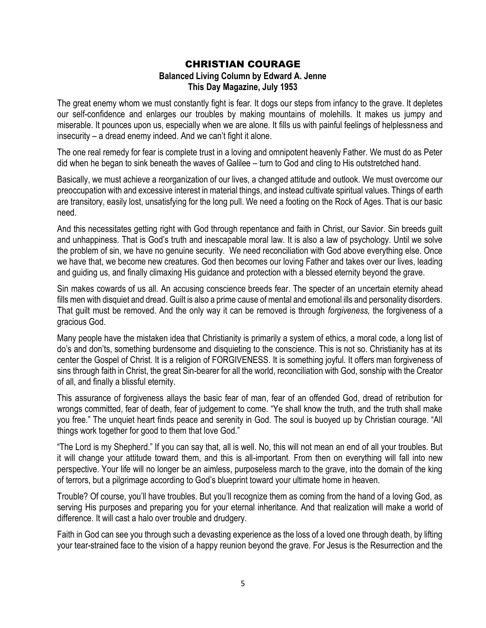#### CHRISTIAN COURAGE **Balanced Living Column by Edward A. Jenne This Day Magazine, July 1953**

The great enemy whom we must constantly fight is fear. It dogs our steps from infancy to the grave. It depletes our self-confidence and enlarges our troubles by making mountains of molehills. It makes us jumpy and miserable. It pounces upon us, especially when we are alone. It fills us with painful feelings of helplessness and insecurity – a dread enemy indeed. And we can't fight it alone.

The one real remedy for fear is complete trust in a loving and omnipotent heavenly Father. We must do as Peter did when he began to sink beneath the waves of Galilee – turn to God and cling to His outstretched hand.

Basically, we must achieve a reorganization of our lives, a changed attitude and outlook. We must overcome our preoccupation with and excessive interest in material things, and instead cultivate spiritual values. Things of earth are transitory, easily lost, unsatisfying for the long pull. We need a footing on the Rock of Ages. That is our basic need.

And this necessitates getting right with God through repentance and faith in Christ, our Savior. Sin breeds guilt and unhappiness. That is God's truth and inescapable moral law. It is also a law of psychology. Until we solve the problem of sin, we have no genuine security. We need reconciliation with God above everything else. Once we have that, we become new creatures. God then becomes our loving Father and takes over our lives, leading and guiding us, and finally climaxing His guidance and protection with a blessed eternity beyond the grave.

Sin makes cowards of us all. An accusing conscience breeds fear. The specter of an uncertain eternity ahead fills men with disquiet and dread. Guilt is also a prime cause of mental and emotional ills and personality disorders. That guilt must be removed. And the only way it can be removed is through *forgiveness,* the forgiveness of a gracious God.

Many people have the mistaken idea that Christianity is primarily a system of ethics, a moral code, a long list of do's and don'ts, something burdensome and disquieting to the conscience. This is not so. Christianity has at its center the Gospel of Christ. It is a religion of FORGIVENESS. It is something joyful. It offers man forgiveness of sins through faith in Christ, the great Sin-bearer for all the world, reconciliation with God, sonship with the Creator of all, and finally a blissful eternity.

This assurance of forgiveness allays the basic fear of man, fear of an offended God, dread of retribution for wrongs committed, fear of death, fear of judgement to come. "Ye shall know the truth, and the truth shall make you free." The unquiet heart finds peace and serenity in God. The soul is buoyed up by Christian courage. "All things work together for good to them that love God."

"The Lord is my Shepherd." If you can say that, all is well. No, this will not mean an end of all your troubles. But it will change your attitude toward them, and this is all-important. From then on everything will fall into new perspective. Your life will no longer be an aimless, purposeless march to the grave, into the domain of the king of terrors, but a pilgrimage according to God's blueprint toward your ultimate home in heaven.

Trouble? Of course, you'll have troubles. But you'll recognize them as coming from the hand of a loving God, as serving His purposes and preparing you for your eternal inheritance. And that realization will make a world of difference. It will cast a halo over trouble and drudgery.

Faith in God can see you through such a devasting experience as the loss of a loved one through death, by lifting your tear-strained face to the vision of a happy reunion beyond the grave. For Jesus is the Resurrection and the